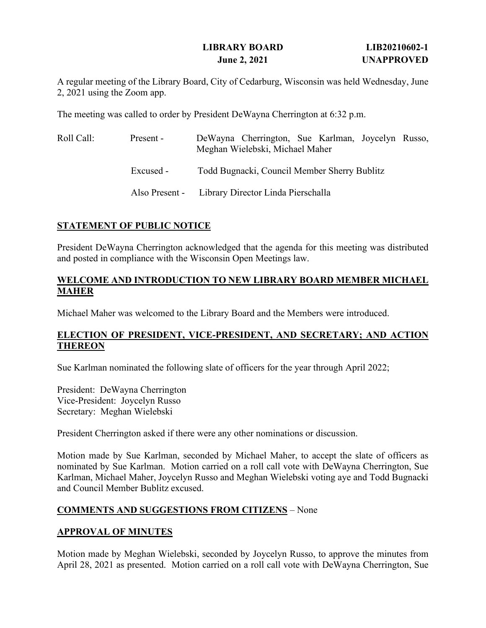### **LIBRARY BOARD LIB20210602-1 June 2, 2021 UNAPPROVED**

A regular meeting of the Library Board, City of Cedarburg, Wisconsin was held Wednesday, June 2, 2021 using the Zoom app.

The meeting was called to order by President DeWayna Cherrington at 6:32 p.m.

| Roll Call: | Present - | DeWayna Cherrington, Sue Karlman, Joycelyn Russo,<br>Meghan Wielebski, Michael Maher |
|------------|-----------|--------------------------------------------------------------------------------------|
|            | Excused - | Todd Bugnacki, Council Member Sherry Bublitz                                         |
|            |           | Also Present - Library Director Linda Pierschalla                                    |

### **STATEMENT OF PUBLIC NOTICE**

President DeWayna Cherrington acknowledged that the agenda for this meeting was distributed and posted in compliance with the Wisconsin Open Meetings law.

### **WELCOME AND INTRODUCTION TO NEW LIBRARY BOARD MEMBER MICHAEL MAHER**

Michael Maher was welcomed to the Library Board and the Members were introduced.

### **ELECTION OF PRESIDENT, VICE-PRESIDENT, AND SECRETARY; AND ACTION THEREON**

Sue Karlman nominated the following slate of officers for the year through April 2022;

President: DeWayna Cherrington Vice-President: Joycelyn Russo Secretary: Meghan Wielebski

President Cherrington asked if there were any other nominations or discussion.

Motion made by Sue Karlman, seconded by Michael Maher, to accept the slate of officers as nominated by Sue Karlman. Motion carried on a roll call vote with DeWayna Cherrington, Sue Karlman, Michael Maher, Joycelyn Russo and Meghan Wielebski voting aye and Todd Bugnacki and Council Member Bublitz excused.

### **COMMENTS AND SUGGESTIONS FROM CITIZENS** – None

### **APPROVAL OF MINUTES**

Motion made by Meghan Wielebski, seconded by Joycelyn Russo, to approve the minutes from April 28, 2021 as presented. Motion carried on a roll call vote with DeWayna Cherrington, Sue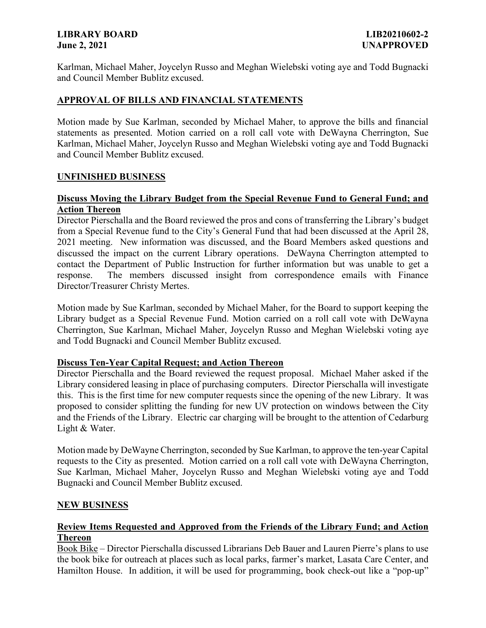#### **LIBRARY BOARD LIB20210602-2 June 2, 2021 UNAPPROVED**

Karlman, Michael Maher, Joycelyn Russo and Meghan Wielebski voting aye and Todd Bugnacki and Council Member Bublitz excused.

### **APPROVAL OF BILLS AND FINANCIAL STATEMENTS**

Motion made by Sue Karlman, seconded by Michael Maher, to approve the bills and financial statements as presented. Motion carried on a roll call vote with DeWayna Cherrington, Sue Karlman, Michael Maher, Joycelyn Russo and Meghan Wielebski voting aye and Todd Bugnacki and Council Member Bublitz excused.

#### **UNFINISHED BUSINESS**

### **Discuss Moving the Library Budget from the Special Revenue Fund to General Fund; and Action Thereon**

Director Pierschalla and the Board reviewed the pros and cons of transferring the Library's budget from a Special Revenue fund to the City's General Fund that had been discussed at the April 28, 2021 meeting. New information was discussed, and the Board Members asked questions and discussed the impact on the current Library operations. DeWayna Cherrington attempted to contact the Department of Public Instruction for further information but was unable to get a response. The members discussed insight from correspondence emails with Finance Director/Treasurer Christy Mertes.

Motion made by Sue Karlman, seconded by Michael Maher, for the Board to support keeping the Library budget as a Special Revenue Fund. Motion carried on a roll call vote with DeWayna Cherrington, Sue Karlman, Michael Maher, Joycelyn Russo and Meghan Wielebski voting aye and Todd Bugnacki and Council Member Bublitz excused.

#### **Discuss Ten-Year Capital Request; and Action Thereon**

Director Pierschalla and the Board reviewed the request proposal. Michael Maher asked if the Library considered leasing in place of purchasing computers. Director Pierschalla will investigate this. This is the first time for new computer requests since the opening of the new Library. It was proposed to consider splitting the funding for new UV protection on windows between the City and the Friends of the Library. Electric car charging will be brought to the attention of Cedarburg Light & Water.

Motion made by DeWayne Cherrington, seconded by Sue Karlman, to approve the ten-year Capital requests to the City as presented. Motion carried on a roll call vote with DeWayna Cherrington, Sue Karlman, Michael Maher, Joycelyn Russo and Meghan Wielebski voting aye and Todd Bugnacki and Council Member Bublitz excused.

#### **NEW BUSINESS**

#### **Review Items Requested and Approved from the Friends of the Library Fund; and Action Thereon**

Book Bike – Director Pierschalla discussed Librarians Deb Bauer and Lauren Pierre's plans to use the book bike for outreach at places such as local parks, farmer's market, Lasata Care Center, and Hamilton House. In addition, it will be used for programming, book check-out like a "pop-up"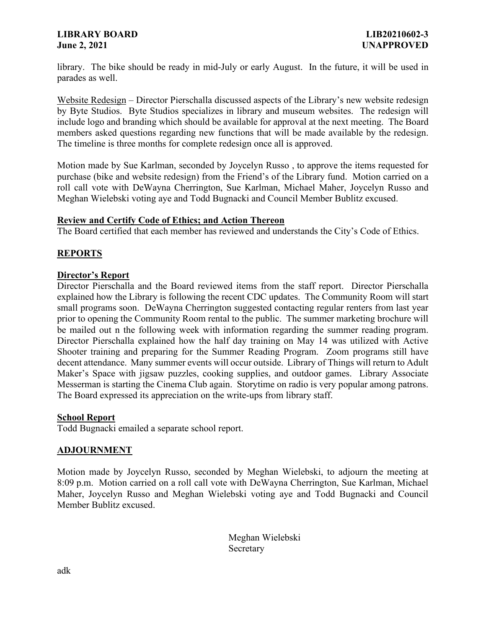#### **LIBRARY BOARD LIB20210602-3 June 2, 2021 UNAPPROVED**

library. The bike should be ready in mid-July or early August. In the future, it will be used in parades as well.

Website Redesign – Director Pierschalla discussed aspects of the Library's new website redesign by Byte Studios. Byte Studios specializes in library and museum websites. The redesign will include logo and branding which should be available for approval at the next meeting. The Board members asked questions regarding new functions that will be made available by the redesign. The timeline is three months for complete redesign once all is approved.

Motion made by Sue Karlman, seconded by Joycelyn Russo , to approve the items requested for purchase (bike and website redesign) from the Friend's of the Library fund. Motion carried on a roll call vote with DeWayna Cherrington, Sue Karlman, Michael Maher, Joycelyn Russo and Meghan Wielebski voting aye and Todd Bugnacki and Council Member Bublitz excused.

#### **Review and Certify Code of Ethics; and Action Thereon**

The Board certified that each member has reviewed and understands the City's Code of Ethics.

### **REPORTS**

#### **Director's Report**

Director Pierschalla and the Board reviewed items from the staff report. Director Pierschalla explained how the Library is following the recent CDC updates. The Community Room will start small programs soon. DeWayna Cherrington suggested contacting regular renters from last year prior to opening the Community Room rental to the public. The summer marketing brochure will be mailed out n the following week with information regarding the summer reading program. Director Pierschalla explained how the half day training on May 14 was utilized with Active Shooter training and preparing for the Summer Reading Program. Zoom programs still have decent attendance. Many summer events will occur outside. Library of Things will return to Adult Maker's Space with jigsaw puzzles, cooking supplies, and outdoor games. Library Associate Messerman is starting the Cinema Club again. Storytime on radio is very popular among patrons. The Board expressed its appreciation on the write-ups from library staff.

#### **School Report**

Todd Bugnacki emailed a separate school report.

### **ADJOURNMENT**

Motion made by Joycelyn Russo, seconded by Meghan Wielebski, to adjourn the meeting at 8:09 p.m. Motion carried on a roll call vote with DeWayna Cherrington, Sue Karlman, Michael Maher, Joycelyn Russo and Meghan Wielebski voting aye and Todd Bugnacki and Council Member Bublitz excused.

> Meghan Wielebski Secretary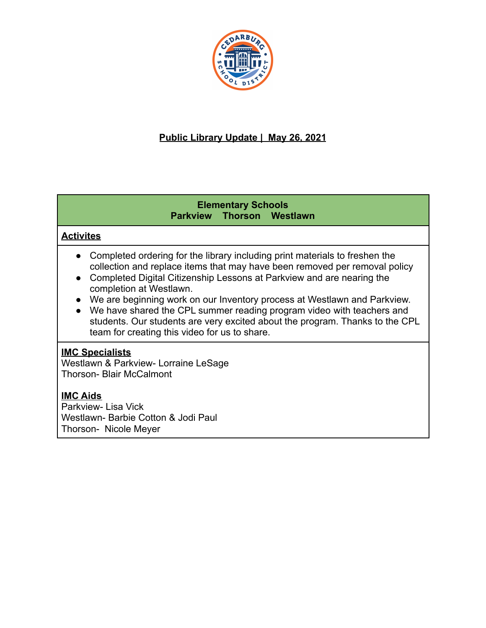

# **Public Library Update | May 26, 2021**

### **Elementary Schools Parkview Thorson Westlawn**

# **Activites**

- Completed ordering for the library including print materials to freshen the collection and replace items that may have been removed per removal policy
- Completed Digital Citizenship Lessons at Parkview and are nearing the completion at Westlawn.
- We are beginning work on our Inventory process at Westlawn and Parkview.
- We have shared the CPL summer reading program video with teachers and students. Our students are very excited about the program. Thanks to the CPL team for creating this video for us to share.

### **IMC Specialists**

Westlawn & Parkview- Lorraine LeSage Thorson- Blair McCalmont

# **IMC Aids**

Parkview- Lisa Vick Westlawn- Barbie Cotton & Jodi Paul Thorson- Nicole Meyer